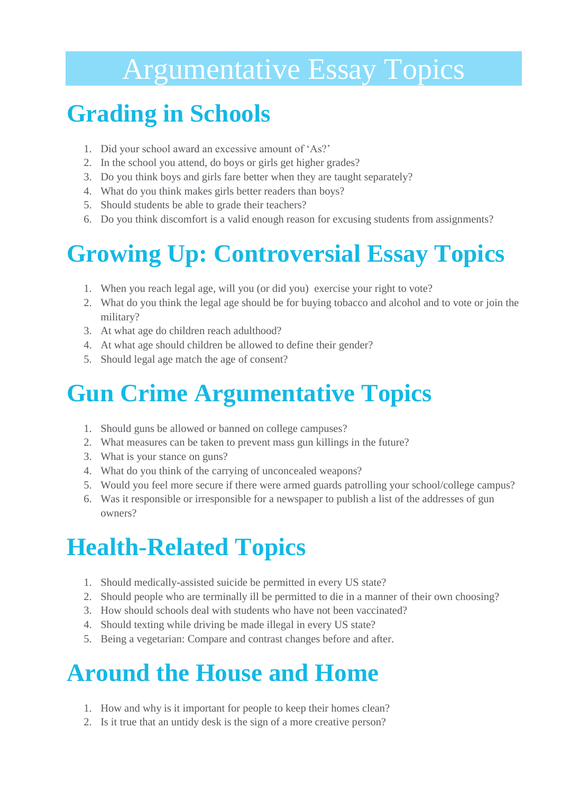# Argumentative Essay Topics

#### **Grading in Schools**

- 1. Did your school award an excessive amount of 'As?'
- 2. In the school you attend, do boys or girls get higher grades?
- 3. Do you think boys and girls fare better when they are taught separately?
- 4. What do you think makes girls better readers than boys?
- 5. Should students be able to grade their teachers?
- 6. Do you think discomfort is a valid enough reason for excusing students from assignments?

# **Growing Up: Controversial Essay Topics**

- 1. When you reach legal age, will you (or did you) exercise your right to vote?
- 2. What do you think the legal age should be for buying tobacco and alcohol and to vote or join the military?
- 3. At what age do children reach adulthood?
- 4. At what age should children be allowed to define their gender?
- 5. Should legal age match the age of consent?

## **Gun Crime Argumentative Topics**

- 1. Should guns be allowed or banned on college campuses?
- 2. What measures can be taken to prevent mass gun killings in the future?
- 3. What is your stance on guns?
- 4. What do you think of the carrying of unconcealed weapons?
- 5. Would you feel more secure if there were armed guards patrolling your school/college campus?
- 6. Was it responsible or irresponsible for a newspaper to publish a list of the addresses of gun owners?

# **Health-Related Topics**

- 1. Should medically-assisted suicide be permitted in every US state?
- 2. Should people who are terminally ill be permitted to die in a manner of their own choosing?
- 3. How should schools deal with students who have not been vaccinated?
- 4. Should texting while driving be made illegal in every US state?
- 5. Being a vegetarian: Compare and contrast changes before and after.

#### **Around the House and Home**

- 1. How and why is it important for people to keep their homes clean?
- 2. Is it true that an untidy desk is the sign of a more creative person?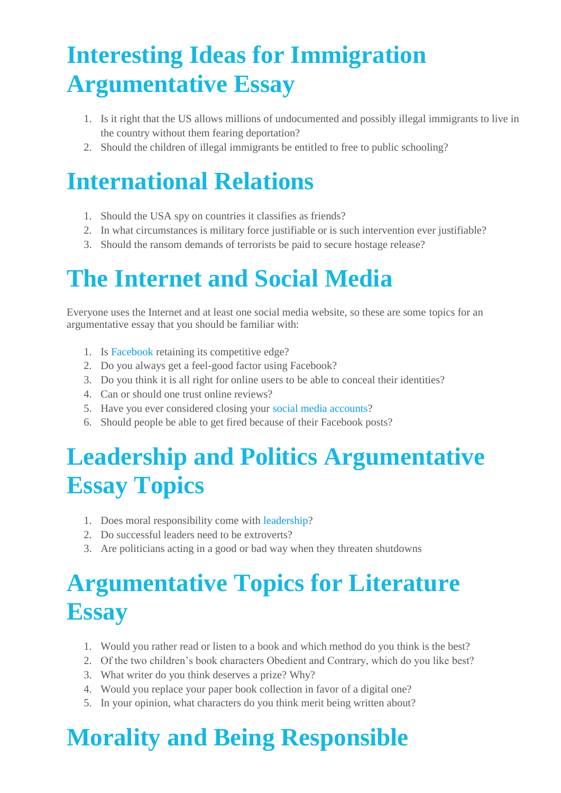## **Interesting Ideas for Immigration Argumentative Essay**

- 1. Is it right that the US allows millions of undocumented and possibly illegal immigrants to live in the country without them fearing deportation?
- 2. Should the children of illegal immigrants be entitled to free to public schooling?

# **International Relations**

- 1. Should the USA spy on countries it classifies as friends?
- 2. In what circumstances is military force justifiable or is such intervention ever justifiable?
- 3. Should the ransom demands of terrorists be paid to secure hostage release?

# **The Internet and Social Media**

Everyone uses the Internet and at least one social media website, so these are some topics for an argumentative essay that you should be familiar with:

- 1. Is [Facebook](https://primeessays.com/samples/Business/facebook-an-innovative-sales-and-marketing-tool-essay.html) retaining its competitive edge?
- 2. Do you always get a feel-good factor using Facebook?
- 3. Do you think it is all right for online users to be able to conceal their identities?
- 4. Can or should one trust online reviews?
- 5. Have you ever considered closing your [social media accounts?](https://primeessays.com/samples/Sociology/social-networking-in-our-life-essay.html)
- 6. Should people be able to get fired because of their Facebook posts?

## **Leadership and Politics Argumentative Essay Topics**

- 1. Does moral responsibility come with [leadership?](https://primeessays.com/samples/History/personal-leadership-philosophy-essay.html)
- 2. Do successful leaders need to be extroverts?
- 3. Are politicians acting in a good or bad way when they threaten shutdowns

## **Argumentative Topics for Literature Essay**

- 1. Would you rather read or listen to a book and which method do you think is the best?
- 2. Of the two children's book characters Obedient and Contrary, which do you like best?
- 3. What writer do you think deserves a prize? Why?
- 4. Would you replace your paper book collection in favor of a digital one?
- 5. In your opinion, what characters do you think merit being written about?

## **Morality and Being Responsible**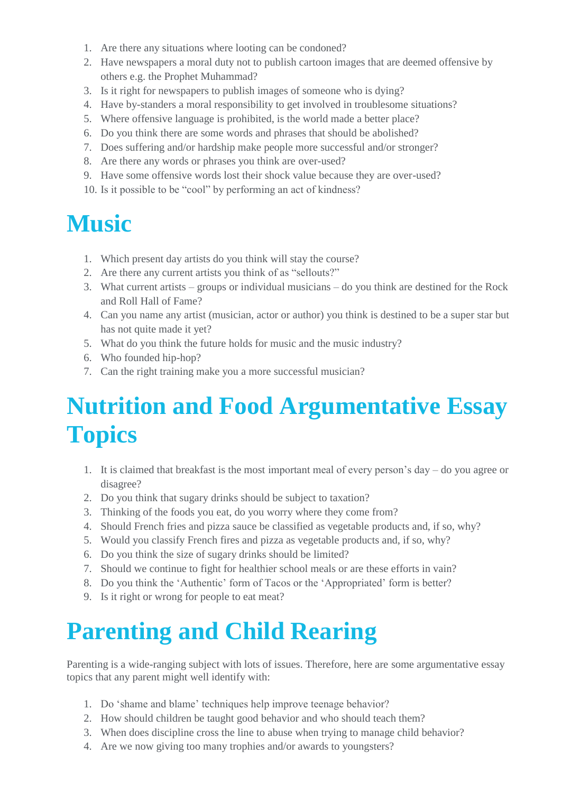- 1. Are there any situations where looting can be condoned?
- 2. Have newspapers a moral duty not to publish cartoon images that are deemed offensive by others e.g. the Prophet Muhammad?
- 3. Is it right for newspapers to publish images of someone who is dying?
- 4. Have by-standers a moral responsibility to get involved in troublesome situations?
- 5. Where offensive language is prohibited, is the world made a better place?
- 6. Do you think there are some words and phrases that should be abolished?
- 7. Does suffering and/or hardship make people more successful and/or stronger?
- 8. Are there any words or phrases you think are over-used?
- 9. Have some offensive words lost their shock value because they are over-used?
- 10. Is it possible to be "cool" by performing an act of kindness?

#### **Music**

- 1. Which present day artists do you think will stay the course?
- 2. Are there any current artists you think of as "sellouts?"
- 3. What current artists groups or individual musicians do you think are destined for the Rock and Roll Hall of Fame?
- 4. Can you name any artist (musician, actor or author) you think is destined to be a super star but has not quite made it yet?
- 5. What do you think the future holds for music and the music industry?
- 6. Who founded hip-hop?
- 7. Can the right training make you a more successful musician?

### **Nutrition and Food Argumentative Essay Topics**

- 1. It is claimed that breakfast is the most important meal of every person's day do you agree or disagree?
- 2. Do you think that sugary drinks should be subject to taxation?
- 3. Thinking of the foods you eat, do you worry where they come from?
- 4. Should French fries and pizza sauce be classified as vegetable products and, if so, why?
- 5. Would you classify French fires and pizza as vegetable products and, if so, why?
- 6. Do you think the size of sugary drinks should be limited?
- 7. Should we continue to fight for healthier school meals or are these efforts in vain?
- 8. Do you think the 'Authentic' form of Tacos or the 'Appropriated' form is better?
- 9. Is it right or wrong for people to eat meat?

## **Parenting and Child Rearing**

Parenting is a wide-ranging subject with lots of issues. Therefore, here are some argumentative essay topics that any parent might well identify with:

- 1. Do 'shame and blame' techniques help improve teenage behavior?
- 2. How should children be taught good behavior and who should teach them?
- 3. When does discipline cross the line to abuse when trying to manage child behavior?
- 4. Are we now giving too many trophies and/or awards to youngsters?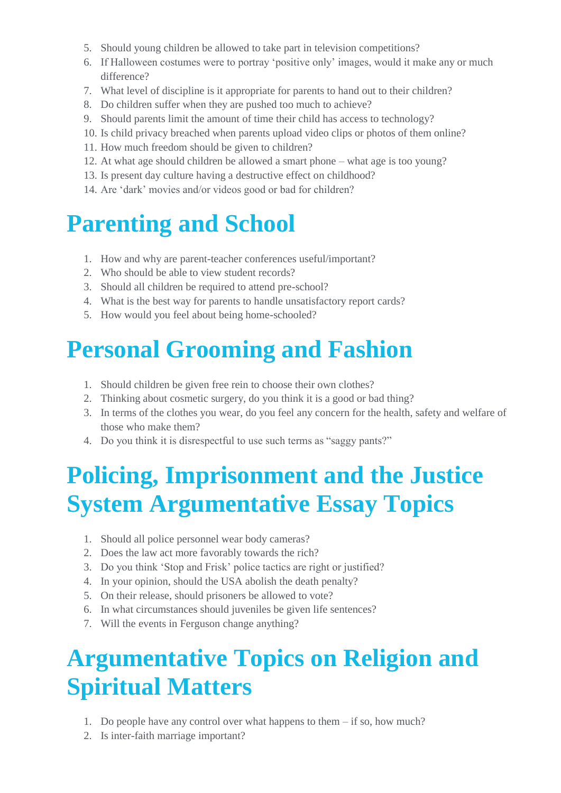- 5. Should young children be allowed to take part in television competitions?
- 6. If Halloween costumes were to portray 'positive only' images, would it make any or much difference?
- 7. What level of discipline is it appropriate for parents to hand out to their children?
- 8. Do children suffer when they are pushed too much to achieve?
- 9. Should parents limit the amount of time their child has access to technology?
- 10. Is child privacy breached when parents upload video clips or photos of them online?
- 11. How much freedom should be given to children?
- 12. At what age should children be allowed a smart phone what age is too young?
- 13. Is present day culture having a destructive effect on childhood?
- 14. Are 'dark' movies and/or videos good or bad for children?

#### **Parenting and School**

- 1. How and why are parent-teacher conferences useful/important?
- 2. Who should be able to view student records?
- 3. Should all children be required to attend pre-school?
- 4. What is the best way for parents to handle unsatisfactory report cards?
- 5. How would you feel about being home-schooled?

#### **Personal Grooming and Fashion**

- 1. Should children be given free rein to choose their own clothes?
- 2. Thinking about cosmetic surgery, do you think it is a good or bad thing?
- 3. In terms of the clothes you wear, do you feel any concern for the health, safety and welfare of those who make them?
- 4. Do you think it is disrespectful to use such terms as "saggy pants?"

#### **Policing, Imprisonment and the Justice System Argumentative Essay Topics**

- 1. Should all police personnel wear body cameras?
- 2. Does the law act more favorably towards the rich?
- 3. Do you think 'Stop and Frisk' police tactics are right or justified?
- 4. In your opinion, should the USA abolish the death penalty?
- 5. On their release, should prisoners be allowed to vote?
- 6. In what circumstances should juveniles be given life sentences?
- 7. Will the events in Ferguson change anything?

## **Argumentative Topics on Religion and Spiritual Matters**

- 1. Do people have any control over what happens to them if so, how much?
- 2. Is inter-faith marriage important?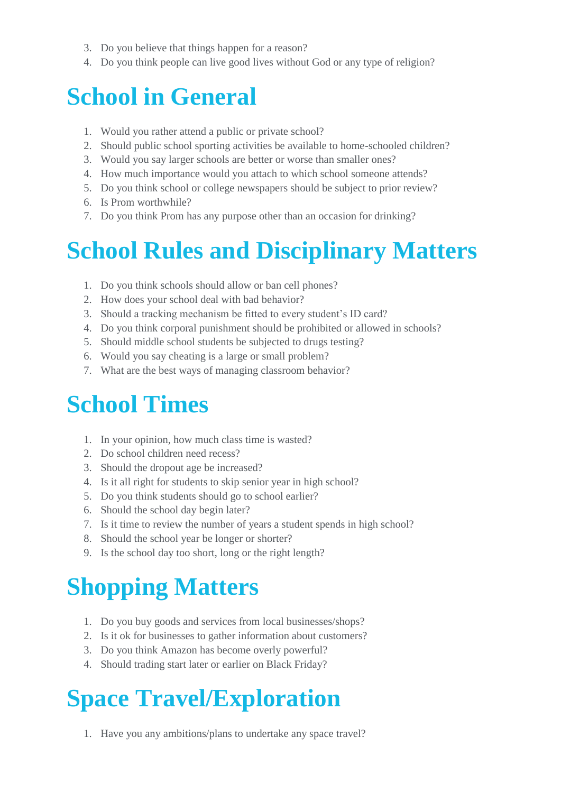- 3. Do you believe that things happen for a reason?
- 4. Do you think people can live good lives without God or any type of religion?

#### **School in General**

- 1. Would you rather attend a public or private school?
- 2. Should public school sporting activities be available to home-schooled children?
- 3. Would you say larger schools are better or worse than smaller ones?
- 4. How much importance would you attach to which school someone attends?
- 5. Do you think school or college newspapers should be subject to prior review?
- 6. Is Prom worthwhile?
- 7. Do you think Prom has any purpose other than an occasion for drinking?

#### **School Rules and Disciplinary Matters**

- 1. Do you think schools should allow or ban cell phones?
- 2. How does your school deal with bad behavior?
- 3. Should a tracking mechanism be fitted to every student's ID card?
- 4. Do you think corporal punishment should be prohibited or allowed in schools?
- 5. Should middle school students be subjected to drugs testing?
- 6. Would you say cheating is a large or small problem?
- 7. What are the best ways of managing classroom behavior?

#### **School Times**

- 1. In your opinion, how much class time is wasted?
- 2. Do school children need recess?
- 3. Should the dropout age be increased?
- 4. Is it all right for students to skip senior year in high school?
- 5. Do you think students should go to school earlier?
- 6. Should the school day begin later?
- 7. Is it time to review the number of years a student spends in high school?
- 8. Should the school year be longer or shorter?
- 9. Is the school day too short, long or the right length?

## **Shopping Matters**

- 1. Do you buy goods and services from local businesses/shops?
- 2. Is it ok for businesses to gather information about customers?
- 3. Do you think Amazon has become overly powerful?
- 4. Should trading start later or earlier on Black Friday?

## **Space Travel/Exploration**

1. Have you any ambitions/plans to undertake any space travel?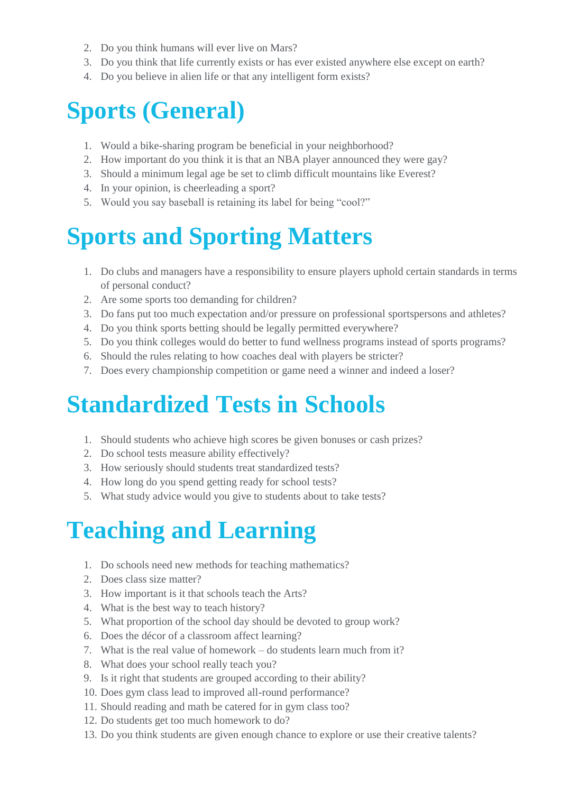- 2. Do you think humans will ever live on Mars?
- 3. Do you think that life currently exists or has ever existed anywhere else except on earth?
- 4. Do you believe in alien life or that any intelligent form exists?

#### **Sports (General)**

- 1. Would a bike-sharing program be beneficial in your neighborhood?
- 2. How important do you think it is that an NBA player announced they were gay?
- 3. Should a minimum legal age be set to climb difficult mountains like Everest?
- 4. In your opinion, is cheerleading a sport?
- 5. Would you say baseball is retaining its label for being "cool?"

## **Sports and Sporting Matters**

- 1. Do clubs and managers have a responsibility to ensure players uphold certain standards in terms of personal conduct?
- 2. Are some sports too demanding for children?
- 3. Do fans put too much expectation and/or pressure on professional sportspersons and athletes?
- 4. Do you think sports betting should be legally permitted everywhere?
- 5. Do you think colleges would do better to fund wellness programs instead of sports programs?
- 6. Should the rules relating to how coaches deal with players be stricter?
- 7. Does every championship competition or game need a winner and indeed a loser?

#### **Standardized Tests in Schools**

- 1. Should students who achieve high scores be given bonuses or cash prizes?
- 2. Do school tests measure ability effectively?
- 3. How seriously should students treat standardized tests?
- 4. How long do you spend getting ready for school tests?
- 5. What study advice would you give to students about to take tests?

# **Teaching and Learning**

- 1. Do schools need new methods for teaching mathematics?
- 2. Does class size matter?
- 3. How important is it that schools teach the Arts?
- 4. What is the best way to teach history?
- 5. What proportion of the school day should be devoted to group work?
- 6. Does the décor of a classroom affect learning?
- 7. What is the real value of homework do students learn much from it?
- 8. What does your school really teach you?
- 9. Is it right that students are grouped according to their ability?
- 10. Does gym class lead to improved all-round performance?
- 11. Should reading and math be catered for in gym class too?
- 12. Do students get too much homework to do?
- 13. Do you think students are given enough chance to explore or use their creative talents?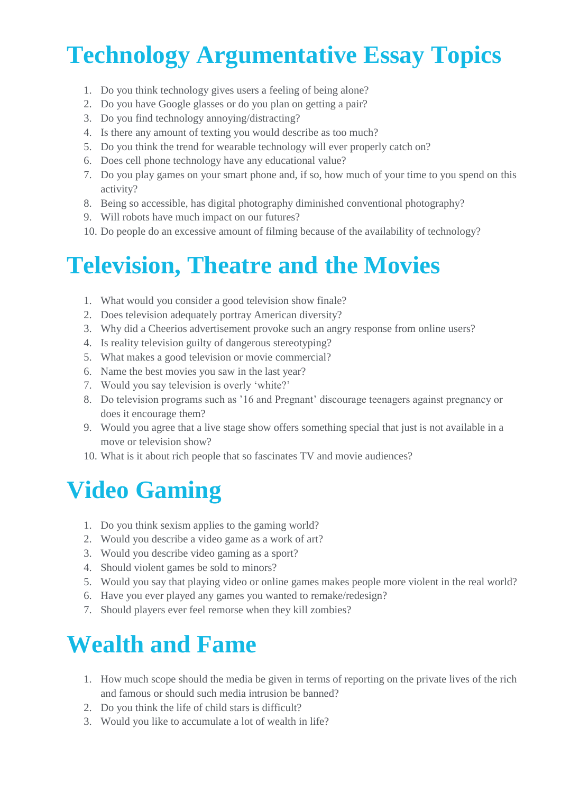# **Technology Argumentative Essay Topics**

- 1. Do you think technology gives users a feeling of being alone?
- 2. Do you have Google glasses or do you plan on getting a pair?
- 3. Do you find technology annoying/distracting?
- 4. Is there any amount of texting you would describe as too much?
- 5. Do you think the trend for wearable technology will ever properly catch on?
- 6. Does cell phone technology have any educational value?
- 7. Do you play games on your smart phone and, if so, how much of your time to you spend on this activity?
- 8. Being so accessible, has digital photography diminished conventional photography?
- 9. Will robots have much impact on our futures?
- 10. Do people do an excessive amount of filming because of the availability of technology?

#### **Television, Theatre and the Movies**

- 1. What would you consider a good television show finale?
- 2. Does television adequately portray American diversity?
- 3. Why did a Cheerios advertisement provoke such an angry response from online users?
- 4. Is reality television guilty of dangerous stereotyping?
- 5. What makes a good television or movie commercial?
- 6. Name the best movies you saw in the last year?
- 7. Would you say television is overly 'white?'
- 8. Do television programs such as '16 and Pregnant' discourage teenagers against pregnancy or does it encourage them?
- 9. Would you agree that a live stage show offers something special that just is not available in a move or television show?
- 10. What is it about rich people that so fascinates TV and movie audiences?

#### **Video Gaming**

- 1. Do you think sexism applies to the gaming world?
- 2. Would you describe a video game as a work of art?
- 3. Would you describe video gaming as a sport?
- 4. Should violent games be sold to minors?
- 5. Would you say that playing video or online games makes people more violent in the real world?
- 6. Have you ever played any games you wanted to remake/redesign?
- 7. Should players ever feel remorse when they kill zombies?

#### **Wealth and Fame**

- 1. How much scope should the media be given in terms of reporting on the private lives of the rich and famous or should such media intrusion be banned?
- 2. Do you think the life of child stars is difficult?
- 3. Would you like to accumulate a lot of wealth in life?